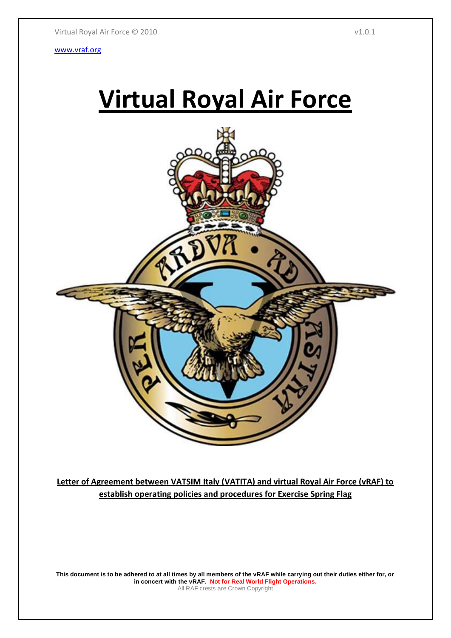# **Virtual Royal Air Force**



**Letter of Agreement between VATSIM Italy (VATITA) and virtual Royal Air Force (vRAF) to establish operating policies and procedures for Exercise Spring Flag**

**This document is to be adhered to at all times by all members of the vRAF while carrying out their duties either for, or in concert with the vRAF. Not for Real World Flight Operations.** All RAF crests are Crown Copyright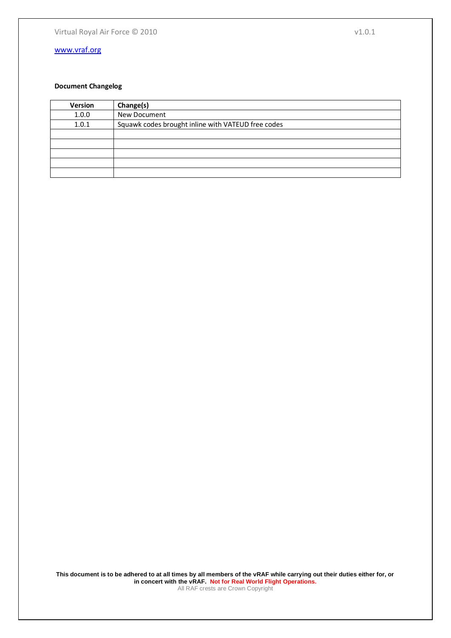# **Document Changelog**

| Version | Change(s)                                          |
|---------|----------------------------------------------------|
| 1.0.0   | <b>New Document</b>                                |
| 1.0.1   | Squawk codes brought inline with VATEUD free codes |
|         |                                                    |
|         |                                                    |
|         |                                                    |
|         |                                                    |
|         |                                                    |

**This document is to be adhered to at all times by all members of the vRAF while carrying out their duties either for, or in concert with the vRAF. Not for Real World Flight Operations.** All RAF crests are Crown Copyright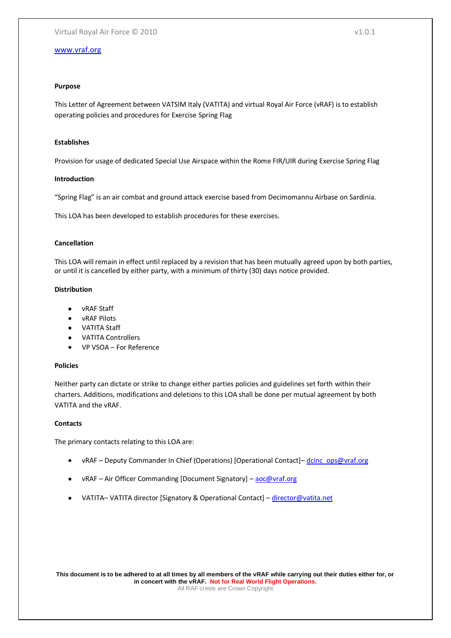# **Purpose**

This Letter of Agreement between VATSIM Italy (VATITA) and virtual Royal Air Force (vRAF) is to establish operating policies and procedures for Exercise Spring Flag

### **Establishes**

Provision for usage of dedicated Special Use Airspace within the Rome FIR/UIR during Exercise Spring Flag

### **Introduction**

"Spring Flag" is an air combat and ground attack exercise based from Decimomannu Airbase on Sardinia.

This LOA has been developed to establish procedures for these exercises.

### **Cancellation**

This LOA will remain in effect until replaced by a revision that has been mutually agreed upon by both parties, or until it is cancelled by either party, with a minimum of thirty (30) days notice provided.

# **Distribution**

- vRAF Staff
- vRAF Pilots  $\bullet$
- VATITA Staff  $\bullet$
- $\bullet$ VATITA Controllers
- VP VSOA For Reference

#### **Policies**

Neither party can dictate or strike to change either parties policies and guidelines set forth within their charters. Additions, modifications and deletions to this LOA shall be done per mutual agreement by both VATITA and the vRAF.

#### **Contacts**

The primary contacts relating to this LOA are:

- vRAF Deputy Commander In Chief (Operations) [Operational Contact] [dcinc\\_ops@vraf.org](mailto:dcinc_ops@vraf.org)
- vRAF Air Officer Commanding [Document Signatory] [aoc@vraf.org](mailto:aoc@vraf.org)
- VATITA-VATITA director [Signatory & Operational Contact] [director@vatita.net](mailto:director@vatita.net)  $\bullet$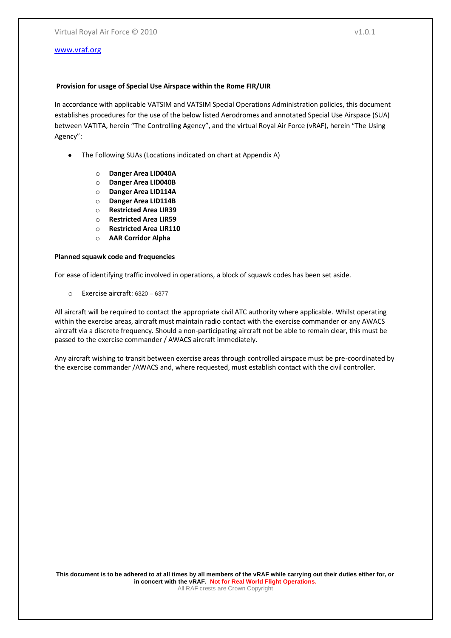In accordance with applicable VATSIM and VATSIM Special Operations Administration policies, this document establishes procedures for the use of the below listed Aerodromes and annotated Special Use Airspace (SUA) between VATITA, herein "The Controlling Agency", and the virtual Royal Air Force (vRAF), herein "The Using Agency":

- The Following SUAs (Locations indicated on chart at Appendix A)
	- o **Danger Area LID040A**
	- o **Danger Area LID040B**
	- o **Danger Area LID114A**
	- o **Danger Area LID114B**
	- o **Restricted Area LIR39**
	- o **Restricted Area LIR59**
	- o **Restricted Area LIR110**
	- o **AAR Corridor Alpha**

# **Planned squawk code and frequencies**

For ease of identifying traffic involved in operations, a block of squawk codes has been set aside.

o Exercise aircraft: 6320 – 6377

All aircraft will be required to contact the appropriate civil ATC authority where applicable. Whilst operating within the exercise areas, aircraft must maintain radio contact with the exercise commander or any AWACS aircraft via a discrete frequency. Should a non-participating aircraft not be able to remain clear, this must be passed to the exercise commander / AWACS aircraft immediately.

Any aircraft wishing to transit between exercise areas through controlled airspace must be pre-coordinated by the exercise commander /AWACS and, where requested, must establish contact with the civil controller.